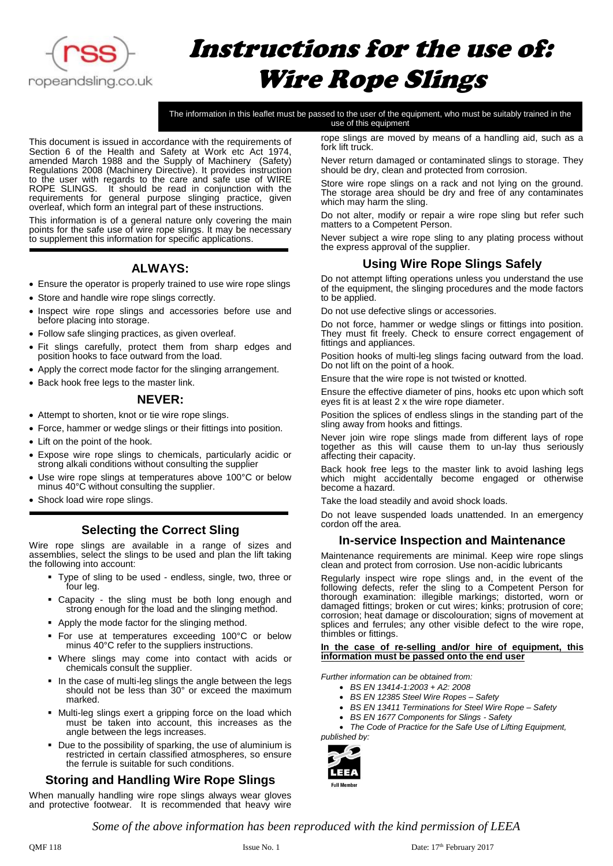

# Instructions for the use of: Wire Rope Slings

The information in this leaflet must be passed to the user of the equipment, who must be suitably trained in the use of this equipment

This document is issued in accordance with the requirements of Section 6 of the Health and Safety at Work etc Act 1974, amended March 1988 and the Supply of Machinery (Safety) Regulations 2008 (Machinery Directive). It provides instruction to the user with regards to the care and safe use of WIRE ROPE SLINGS. It should be read in conjunction with the requirements for general purpose slinging practice, given overleaf, which form an integral part of these instructions.

This information is of a general nature only covering the main points for the safe use of wire rope slings. It may be necessary to supplement this information for specific applications.

# **ALWAYS:**

- Ensure the operator is properly trained to use wire rope slings
- Store and handle wire rope slings correctly.
- Inspect wire rope slings and accessories before use and before placing into storage.
- Follow safe slinging practices, as given overleaf.
- Fit slings carefully, protect them from sharp edges and position hooks to face outward from the load.
- Apply the correct mode factor for the slinging arrangement.
- Back hook free legs to the master link.

## **NEVER:**

- Attempt to shorten, knot or tie wire rope slings.
- Force, hammer or wedge slings or their fittings into position.
- Lift on the point of the hook.
- Expose wire rope slings to chemicals, particularly acidic or strong alkali conditions without consulting the supplier
- Use wire rope slings at temperatures above 100°C or below minus 40°C without consulting the supplier.
- Shock load wire rope slings.

## **Selecting the Correct Sling**

Wire rope slings are available in a range of sizes and assemblies, select the slings to be used and plan the lift taking the following into account:

- Type of sling to be used endless, single, two, three or four leg.
- Capacity the sling must be both long enough and strong enough for the load and the slinging method.
- Apply the mode factor for the slinging method.
- For use at temperatures exceeding 100°C or below minus 40°C refer to the suppliers instructions.
- Where slings may come into contact with acids or chemicals consult the supplier.
- In the case of multi-leg slings the angle between the legs should not be less than 30° or exceed the maximum marked.
- Multi-leg slings exert a gripping force on the load which must be taken into account, this increases as the angle between the legs increases.
- Due to the possibility of sparking, the use of aluminium is restricted in certain classified atmospheres, so ensure the ferrule is suitable for such conditions.

## **Storing and Handling Wire Rope Slings**

When manually handling wire rope slings always wear gloves and protective footwear. It is recommended that heavy wire rope slings are moved by means of a handling aid, such as a fork lift truck.

Never return damaged or contaminated slings to storage. They should be dry, clean and protected from corrosion.

Store wire rope slings on a rack and not lying on the ground. The storage area should be dry and free of any contaminates which may harm the sling.

Do not alter, modify or repair a wire rope sling but refer such matters to a Competent Person.

Never subject a wire rope sling to any plating process without the express approval of the supplier.

## **Using Wire Rope Slings Safely**

Do not attempt lifting operations unless you understand the use of the equipment, the slinging procedures and the mode factors to be applied.

Do not use defective slings or accessories.

Do not force, hammer or wedge slings or fittings into position. They must fit freely. Check to ensure correct engagement of fittings and appliances.

Position hooks of multi-leg slings facing outward from the load. Do not lift on the point of a hook.

Ensure that the wire rope is not twisted or knotted.

Ensure the effective diameter of pins, hooks etc upon which soft eyes fit is at least 2 x the wire rope diameter.

Position the splices of endless slings in the standing part of the sling away from hooks and fittings.

Never join wire rope slings made from different lays of rope together as this will cause them to un-lay thus seriously affecting their capacity.

Back hook free legs to the master link to avoid lashing legs which might accidentally become engaged or otherwise become a hazard.

Take the load steadily and avoid shock loads.

Do not leave suspended loads unattended. In an emergency cordon off the area.

## **In-service Inspection and Maintenance**

Maintenance requirements are minimal. Keep wire rope slings clean and protect from corrosion. Use non-acidic lubricants

Regularly inspect wire rope slings and, in the event of the following defects, refer the sling to a Competent Person for thorough examination: illegible markings; distorted, worn or damaged fittings; broken or cut wires; kinks; protrusion of core; corrosion; heat damage or discolouration; signs of movement at splices and ferrules; any other visible defect to the wire rope, thimbles or fittings.

#### **In the case of re-selling and/or hire of equipment, this information must be passed onto the end user**

*Further information can be obtained from:*

- *BS EN 13414-1:2003 + A2: 2008*
- *BS EN 12385 Steel Wire Ropes – Safety*
- *BS EN 13411 Terminations for Steel Wire Rope – Safety*
- *BS EN 1677 Components for Slings - Safety*

• *The Code of Practice for the Safe Use of Lifting Equipment, published by:*



*Some of the above information has been reproduced with the kind permission of LEEA*